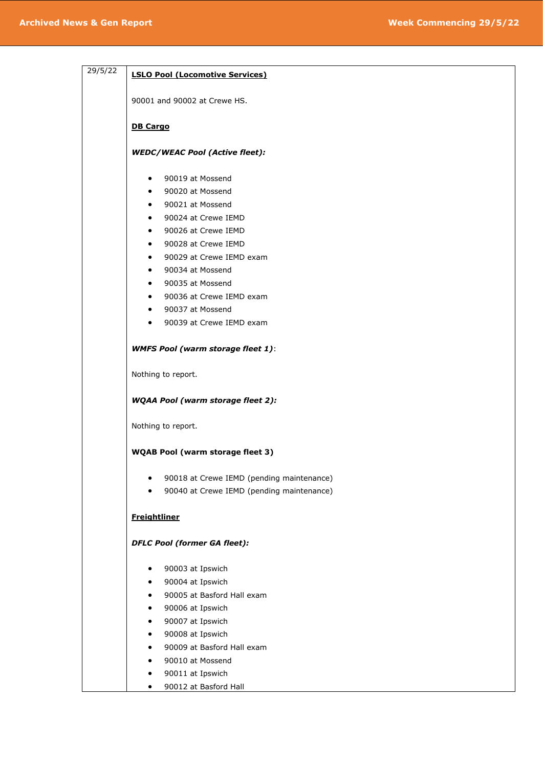| 29/5/22 | <b>LSLO Pool (Locomotive Services)</b>                                                              |
|---------|-----------------------------------------------------------------------------------------------------|
|         | 90001 and 90002 at Crewe HS.                                                                        |
|         | <b>DB Cargo</b>                                                                                     |
|         | <b>WEDC/WEAC Pool (Active fleet):</b>                                                               |
|         | 90019 at Mossend<br>$\bullet$<br>90020 at Mossend<br>$\bullet$<br>90021 at Mossend<br>$\bullet$     |
|         | 90024 at Crewe IEMD<br>$\bullet$                                                                    |
|         | 90026 at Crewe IEMD<br>90028 at Crewe IEMD                                                          |
|         | 90029 at Crewe IEMD exam<br>$\bullet$<br>90034 at Mossend<br>$\bullet$                              |
|         | 90035 at Mossend<br>$\bullet$<br>90036 at Crewe IEMD exam                                           |
|         | 90037 at Mossend<br>$\bullet$<br>90039 at Crewe IEMD exam<br>$\bullet$                              |
|         |                                                                                                     |
|         | <b>WMFS Pool (warm storage fleet 1):</b>                                                            |
|         | Nothing to report.                                                                                  |
|         | <b>WQAA Pool (warm storage fleet 2):</b>                                                            |
|         | Nothing to report.                                                                                  |
|         | WQAB Pool (warm storage fleet 3)                                                                    |
|         | 90018 at Crewe IEMD (pending maintenance)<br>90040 at Crewe IEMD (pending maintenance)<br>$\bullet$ |
|         | <b>Freightliner</b>                                                                                 |
|         | <b>DFLC Pool (former GA fleet):</b>                                                                 |
|         | 90003 at Ipswich<br>$\bullet$                                                                       |
|         | 90004 at Ipswich<br>$\bullet$<br>90005 at Basford Hall exam                                         |
|         | 90006 at Ipswich                                                                                    |
|         | 90007 at Ipswich<br>$\bullet$                                                                       |
|         | 90008 at Ipswich<br>$\bullet$                                                                       |
|         | 90009 at Basford Hall exam<br>$\bullet$                                                             |
|         | 90010 at Mossend<br>$\bullet$                                                                       |
|         | 90011 at Ipswich                                                                                    |

• 90012 at Basford Hall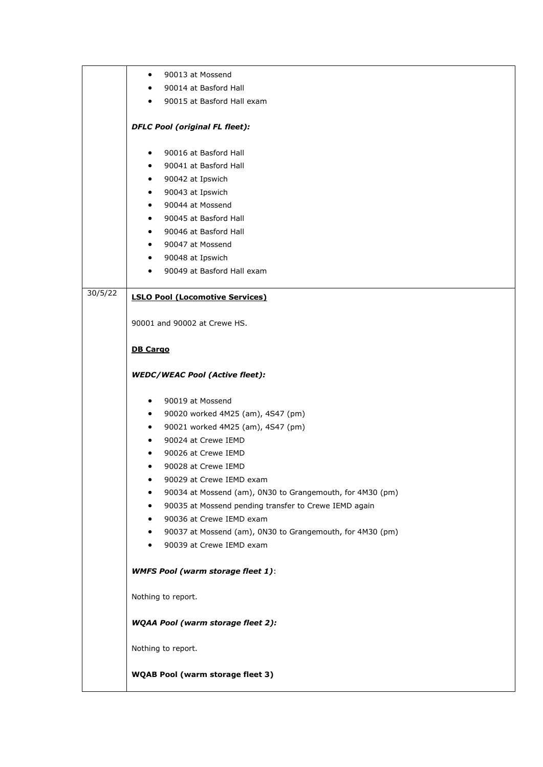|         | $\bullet$       | 90013 at Mossend                                          |
|---------|-----------------|-----------------------------------------------------------|
|         | $\bullet$       | 90014 at Basford Hall                                     |
|         | $\bullet$       | 90015 at Basford Hall exam                                |
|         |                 |                                                           |
|         |                 | <b>DFLC Pool (original FL fleet):</b>                     |
|         | $\bullet$       | 90016 at Basford Hall                                     |
|         | $\bullet$       | 90041 at Basford Hall                                     |
|         | $\bullet$       | 90042 at Ipswich                                          |
|         | $\bullet$       | 90043 at Ipswich                                          |
|         | $\bullet$       | 90044 at Mossend                                          |
|         | $\bullet$       | 90045 at Basford Hall                                     |
|         | $\bullet$       | 90046 at Basford Hall                                     |
|         | $\bullet$       | 90047 at Mossend                                          |
|         | $\bullet$       | 90048 at Ipswich                                          |
|         | $\bullet$       | 90049 at Basford Hall exam                                |
|         |                 |                                                           |
| 30/5/22 |                 | <b>LSLO Pool (Locomotive Services)</b>                    |
|         |                 | 90001 and 90002 at Crewe HS.                              |
|         | <b>DB Cargo</b> |                                                           |
|         |                 |                                                           |
|         |                 | <b>WEDC/WEAC Pool (Active fleet):</b>                     |
|         | ٠               | 90019 at Mossend                                          |
|         | $\bullet$       | 90020 worked 4M25 (am), 4S47 (pm)                         |
|         | $\bullet$       | 90021 worked 4M25 (am), 4S47 (pm)                         |
|         | $\bullet$       | 90024 at Crewe IEMD                                       |
|         | $\bullet$       | 90026 at Crewe IEMD                                       |
|         | ٠               | 90028 at Crewe IEMD                                       |
|         | ٠               | 90029 at Crewe IEMD exam                                  |
|         |                 | 90034 at Mossend (am), 0N30 to Grangemouth, for 4M30 (pm) |
|         | ٠               | 90035 at Mossend pending transfer to Crewe IEMD again     |
|         | $\bullet$       | 90036 at Crewe IEMD exam                                  |
|         | ٠               | 90037 at Mossend (am), 0N30 to Grangemouth, for 4M30 (pm) |
|         |                 | 90039 at Crewe IEMD exam                                  |
|         |                 | <b>WMFS Pool (warm storage fleet 1):</b>                  |
|         |                 | Nothing to report.                                        |
|         |                 | <b>WQAA Pool (warm storage fleet 2):</b>                  |
|         |                 | Nothing to report.                                        |
|         |                 | <b>WQAB Pool (warm storage fleet 3)</b>                   |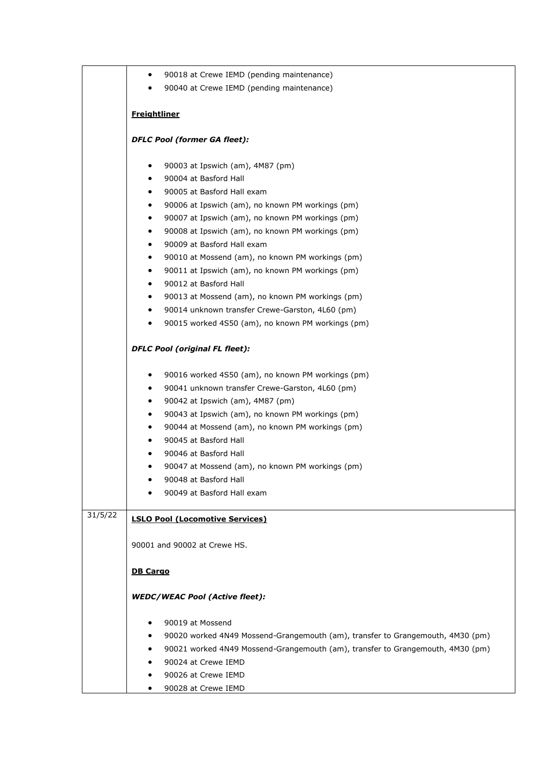|         | 90018 at Crewe IEMD (pending maintenance)<br>$\bullet$                                                                         |
|---------|--------------------------------------------------------------------------------------------------------------------------------|
|         | 90040 at Crewe IEMD (pending maintenance)<br>$\bullet$                                                                         |
|         | <b>Freightliner</b>                                                                                                            |
|         | <b>DFLC Pool (former GA fleet):</b>                                                                                            |
|         |                                                                                                                                |
|         | 90003 at Ipswich (am), 4M87 (pm)                                                                                               |
|         | 90004 at Basford Hall<br>$\bullet$                                                                                             |
|         | 90005 at Basford Hall exam<br>$\bullet$                                                                                        |
|         | 90006 at Ipswich (am), no known PM workings (pm)<br>$\bullet$<br>90007 at Ipswich (am), no known PM workings (pm)<br>$\bullet$ |
|         | 90008 at Ipswich (am), no known PM workings (pm)<br>٠                                                                          |
|         | 90009 at Basford Hall exam<br>$\bullet$                                                                                        |
|         | 90010 at Mossend (am), no known PM workings (pm)<br>$\bullet$                                                                  |
|         | 90011 at Ipswich (am), no known PM workings (pm)<br>$\bullet$                                                                  |
|         | 90012 at Basford Hall<br>$\bullet$                                                                                             |
|         | 90013 at Mossend (am), no known PM workings (pm)<br>٠                                                                          |
|         | 90014 unknown transfer Crewe-Garston, 4L60 (pm)<br>$\bullet$                                                                   |
|         | 90015 worked 4S50 (am), no known PM workings (pm)<br>$\bullet$                                                                 |
|         | <b>DFLC Pool (original FL fleet):</b>                                                                                          |
|         | 90016 worked 4S50 (am), no known PM workings (pm)<br>$\bullet$                                                                 |
|         | 90041 unknown transfer Crewe-Garston, 4L60 (pm)<br>$\bullet$                                                                   |
|         | 90042 at Ipswich (am), 4M87 (pm)<br>$\bullet$                                                                                  |
|         | 90043 at Ipswich (am), no known PM workings (pm)<br>$\bullet$                                                                  |
|         | 90044 at Mossend (am), no known PM workings (pm)<br>$\bullet$                                                                  |
|         | 90045 at Basford Hall<br>$\bullet$                                                                                             |
|         | 90046 at Basford Hall<br>$\bullet$                                                                                             |
|         | 90047 at Mossend (am), no known PM workings (pm)<br>٠                                                                          |
|         | 90048 at Basford Hall                                                                                                          |
|         | 90049 at Basford Hall exam                                                                                                     |
| 31/5/22 | <b>LSLO Pool (Locomotive Services)</b>                                                                                         |
|         | 90001 and 90002 at Crewe HS.                                                                                                   |
|         | <b>DB Cargo</b>                                                                                                                |
|         | <b>WEDC/WEAC Pool (Active fleet):</b>                                                                                          |
|         | 90019 at Mossend                                                                                                               |
|         | 90020 worked 4N49 Mossend-Grangemouth (am), transfer to Grangemouth, 4M30 (pm)                                                 |
|         | 90021 worked 4N49 Mossend-Grangemouth (am), transfer to Grangemouth, 4M30 (pm)                                                 |
|         | 90024 at Crewe IEMD                                                                                                            |
|         | 90026 at Crewe IEMD                                                                                                            |
|         | 90028 at Crewe IEMD                                                                                                            |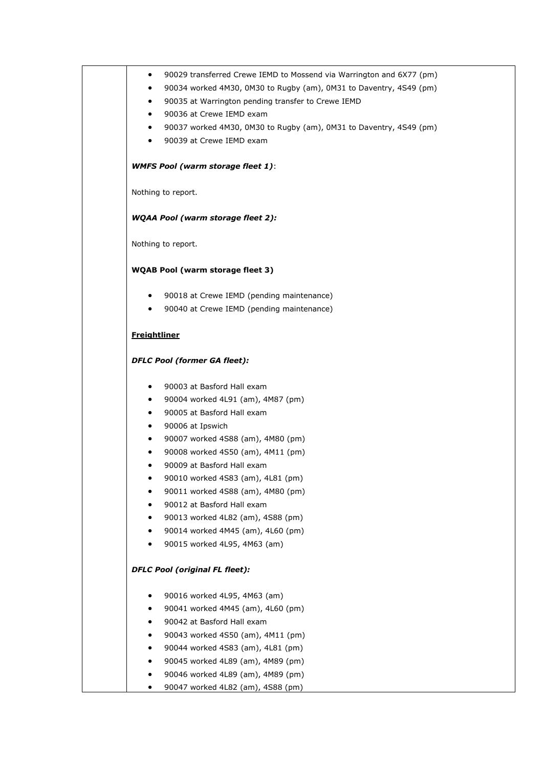| 90029 transferred Crewe IEMD to Mossend via Warrington and 6X77 (pm)<br>٠       |
|---------------------------------------------------------------------------------|
| 90034 worked 4M30, 0M30 to Rugby (am), 0M31 to Daventry, 4S49 (pm)<br>$\bullet$ |
| 90035 at Warrington pending transfer to Crewe IEMD<br>٠                         |
| 90036 at Crewe IEMD exam<br>$\bullet$                                           |
| 90037 worked 4M30, 0M30 to Rugby (am), 0M31 to Daventry, 4S49 (pm)<br>$\bullet$ |
| 90039 at Crewe IEMD exam<br>٠                                                   |
|                                                                                 |
| <b>WMFS Pool (warm storage fleet 1):</b>                                        |
| Nothing to report.                                                              |
| <b>WQAA Pool (warm storage fleet 2):</b>                                        |
| Nothing to report.                                                              |
| <b>WQAB Pool (warm storage fleet 3)</b>                                         |
| 90018 at Crewe IEMD (pending maintenance)<br>$\bullet$                          |
| 90040 at Crewe IEMD (pending maintenance)<br>$\bullet$                          |
|                                                                                 |
| <b>Freightliner</b>                                                             |
| <b>DFLC Pool (former GA fleet):</b>                                             |
| 90003 at Basford Hall exam<br>٠                                                 |
| 90004 worked 4L91 (am), 4M87 (pm)<br>$\bullet$                                  |
| 90005 at Basford Hall exam<br>٠                                                 |
| 90006 at Ipswich<br>$\bullet$                                                   |
| 90007 worked 4S88 (am), 4M80 (pm)                                               |
| 90008 worked 4S50 (am), 4M11 (pm)                                               |
| 90009 at Basford Hall exam<br>٠                                                 |
| 90010 worked 4S83 (am), 4L81 (pm)                                               |
| 90011 worked 4S88 (am), 4M80 (pm)                                               |
| 90012 at Basford Hall exam                                                      |
| 90013 worked 4L82 (am), 4S88 (pm)                                               |
| 90014 worked 4M45 (am), 4L60 (pm)                                               |
| 90015 worked 4L95, 4M63 (am)                                                    |
| <b>DFLC Pool (original FL fleet):</b>                                           |
| 90016 worked 4L95, 4M63 (am)                                                    |
| 90041 worked 4M45 (am), 4L60 (pm)                                               |
| 90042 at Basford Hall exam                                                      |
| 90043 worked 4S50 (am), 4M11 (pm)                                               |
| 90044 worked 4S83 (am), 4L81 (pm)                                               |
| 90045 worked 4L89 (am), 4M89 (pm)                                               |
| 90046 worked 4L89 (am), 4M89 (pm)                                               |
| 90047 worked 4L82 (am), 4S88 (pm)                                               |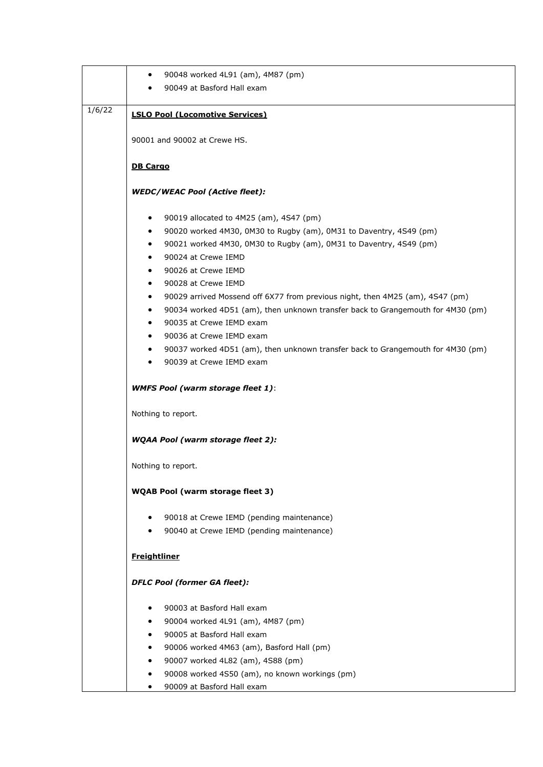|        | 90048 worked 4L91 (am), 4M87 (pm)<br>$\bullet$                                               |
|--------|----------------------------------------------------------------------------------------------|
|        | 90049 at Basford Hall exam<br>$\bullet$                                                      |
|        |                                                                                              |
| 1/6/22 | <b>LSLO Pool (Locomotive Services)</b>                                                       |
|        |                                                                                              |
|        | 90001 and 90002 at Crewe HS.                                                                 |
|        |                                                                                              |
|        | <b>DB Cargo</b>                                                                              |
|        | <b>WEDC/WEAC Pool (Active fleet):</b>                                                        |
|        |                                                                                              |
|        | 90019 allocated to 4M25 (am), 4S47 (pm)<br>٠                                                 |
|        | 90020 worked 4M30, 0M30 to Rugby (am), 0M31 to Daventry, 4S49 (pm)<br>$\bullet$              |
|        | 90021 worked 4M30, 0M30 to Rugby (am), 0M31 to Daventry, 4S49 (pm)<br>$\bullet$              |
|        | 90024 at Crewe IEMD<br>$\bullet$                                                             |
|        | 90026 at Crewe IEMD<br>$\bullet$                                                             |
|        | 90028 at Crewe IEMD<br>$\bullet$                                                             |
|        | 90029 arrived Mossend off 6X77 from previous night, then 4M25 (am), 4S47 (pm)<br>$\bullet$   |
|        | 90034 worked 4D51 (am), then unknown transfer back to Grangemouth for 4M30 (pm)<br>$\bullet$ |
|        | 90035 at Crewe IEMD exam<br>٠                                                                |
|        | 90036 at Crewe IEMD exam<br>$\bullet$                                                        |
|        | 90037 worked 4D51 (am), then unknown transfer back to Grangemouth for 4M30 (pm)<br>$\bullet$ |
|        | 90039 at Crewe IEMD exam<br>$\bullet$                                                        |
|        |                                                                                              |
|        | <b>WMFS Pool (warm storage fleet 1):</b>                                                     |
|        |                                                                                              |
|        | Nothing to report.                                                                           |
|        |                                                                                              |
|        | <b>WQAA Pool (warm storage fleet 2):</b>                                                     |
|        |                                                                                              |
|        | Nothing to report.                                                                           |
|        | <b>WQAB Pool (warm storage fleet 3)</b>                                                      |
|        |                                                                                              |
|        | 90018 at Crewe IEMD (pending maintenance)<br>٠                                               |
|        | 90040 at Crewe IEMD (pending maintenance)                                                    |
|        |                                                                                              |
|        | <b>Freightliner</b>                                                                          |
|        |                                                                                              |
|        | <b>DFLC Pool (former GA fleet):</b>                                                          |
|        |                                                                                              |
|        | 90003 at Basford Hall exam<br>٠                                                              |
|        | 90004 worked 4L91 (am), 4M87 (pm)<br>٠                                                       |
|        | 90005 at Basford Hall exam<br>٠                                                              |
|        | 90006 worked 4M63 (am), Basford Hall (pm)<br>٠                                               |
|        | 90007 worked 4L82 (am), 4S88 (pm)<br>٠                                                       |
|        | 90008 worked 4S50 (am), no known workings (pm)<br>٠                                          |
|        | 90009 at Basford Hall exam                                                                   |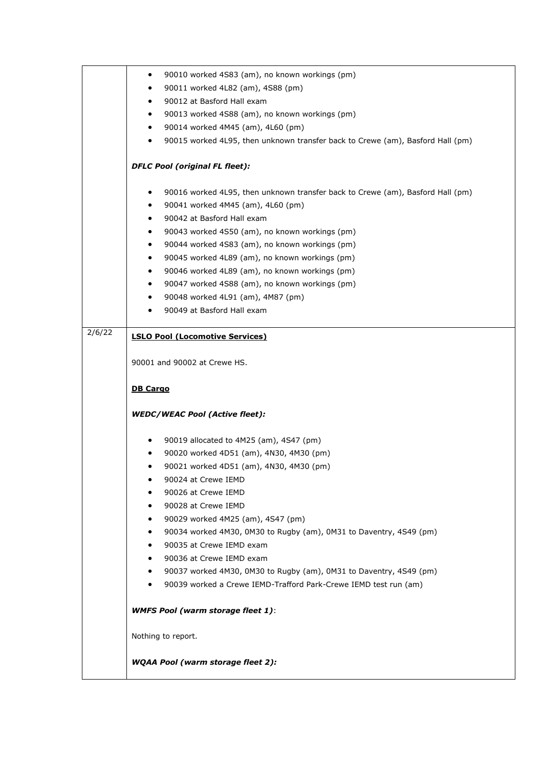|        | 90010 worked 4S83 (am), no known workings (pm)<br>$\bullet$                                 |
|--------|---------------------------------------------------------------------------------------------|
|        | 90011 worked 4L82 (am), 4S88 (pm)<br>٠                                                      |
|        | 90012 at Basford Hall exam<br>٠                                                             |
|        | 90013 worked 4S88 (am), no known workings (pm)<br>$\bullet$                                 |
|        | 90014 worked 4M45 (am), 4L60 (pm)<br>٠                                                      |
|        | 90015 worked 4L95, then unknown transfer back to Crewe (am), Basford Hall (pm)<br>$\bullet$ |
|        | <b>DFLC Pool (original FL fleet):</b>                                                       |
|        | 90016 worked 4L95, then unknown transfer back to Crewe (am), Basford Hall (pm)<br>٠         |
|        | 90041 worked 4M45 (am), 4L60 (pm)<br>$\bullet$                                              |
|        | 90042 at Basford Hall exam<br>$\bullet$                                                     |
|        | 90043 worked 4S50 (am), no known workings (pm)<br>٠                                         |
|        | 90044 worked 4S83 (am), no known workings (pm)<br>$\bullet$                                 |
|        | 90045 worked 4L89 (am), no known workings (pm)<br>٠                                         |
|        | 90046 worked 4L89 (am), no known workings (pm)<br>٠                                         |
|        | 90047 worked 4S88 (am), no known workings (pm)<br>$\bullet$                                 |
|        | 90048 worked 4L91 (am), 4M87 (pm)<br>$\bullet$                                              |
|        | 90049 at Basford Hall exam<br>$\bullet$                                                     |
| 2/6/22 | <b>LSLO Pool (Locomotive Services)</b>                                                      |
|        |                                                                                             |
|        | 90001 and 90002 at Crewe HS.                                                                |
|        | <b>DB Cargo</b>                                                                             |
|        | <b>WEDC/WEAC Pool (Active fleet):</b>                                                       |
|        | 90019 allocated to 4M25 (am), 4S47 (pm)<br>٠                                                |
|        | 90020 worked 4D51 (am), 4N30, 4M30 (pm)<br>$\bullet$                                        |
|        | 90021 worked 4D51 (am), 4N30, 4M30 (pm)<br>٠                                                |
|        | 90024 at Crewe IEMD                                                                         |
|        | 90026 at Crewe IEMD                                                                         |
|        | 90028 at Crewe IEMD                                                                         |
|        | 90029 worked 4M25 (am), 4S47 (pm)                                                           |
|        | 90034 worked 4M30, 0M30 to Rugby (am), 0M31 to Daventry, 4S49 (pm)                          |
|        | 90035 at Crewe IEMD exam<br>٠                                                               |
|        | 90036 at Crewe IEMD exam                                                                    |
|        | 90037 worked 4M30, 0M30 to Rugby (am), 0M31 to Daventry, 4S49 (pm)                          |
|        | 90039 worked a Crewe IEMD-Trafford Park-Crewe IEMD test run (am)                            |
|        | <b>WMFS Pool (warm storage fleet 1):</b>                                                    |
|        | Nothing to report.                                                                          |
|        | WQAA Pool (warm storage fleet 2):                                                           |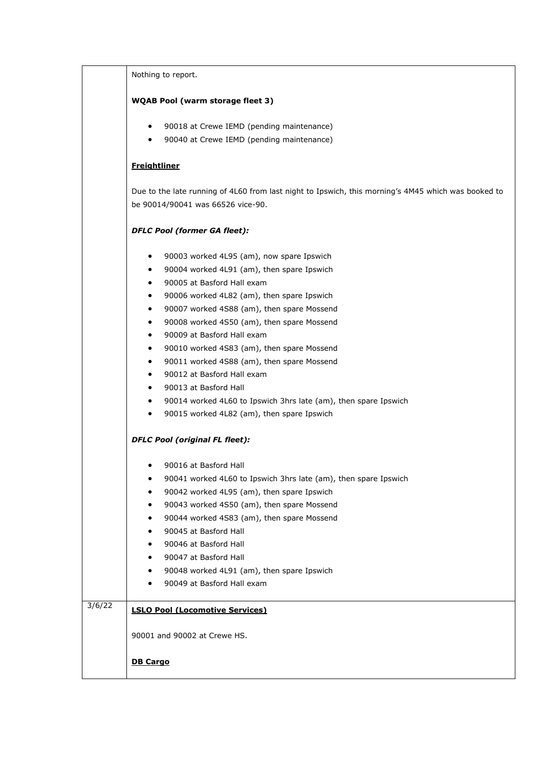Nothing to report. **WQAB Pool (warm storage fleet 3)** • 90018 at Crewe IEMD (pending maintenance) • 90040 at Crewe IEMD (pending maintenance) **Freightliner** Due to the late running of 4L60 from last night to Ipswich, this morning's 4M45 which was booked to be 90014/90041 was 66526 vice-90. *DFLC Pool (former GA fleet):* • 90003 worked 4L95 (am), now spare Ipswich • 90004 worked 4L91 (am), then spare Ipswich • 90005 at Basford Hall exam • 90006 worked 4L82 (am), then spare Ipswich • 90007 worked 4S88 (am), then spare Mossend • 90008 worked 4S50 (am), then spare Mossend • 90009 at Basford Hall exam • 90010 worked 4S83 (am), then spare Mossend • 90011 worked 4S88 (am), then spare Mossend • 90012 at Basford Hall exam • 90013 at Basford Hall • 90014 worked 4L60 to Ipswich 3hrs late (am), then spare Ipswich • 90015 worked 4L82 (am), then spare Ipswich *DFLC Pool (original FL fleet):* • 90016 at Basford Hall • 90041 worked 4L60 to Ipswich 3hrs late (am), then spare Ipswich • 90042 worked 4L95 (am), then spare Ipswich • 90043 worked 4S50 (am), then spare Mossend • 90044 worked 4S83 (am), then spare Mossend • 90045 at Basford Hall • 90046 at Basford Hall • 90047 at Basford Hall • 90048 worked 4L91 (am), then spare Ipswich • 90049 at Basford Hall exam 3/6/22 **LSLO Pool (Locomotive Services)** 90001 and 90002 at Crewe HS. **DB Cargo**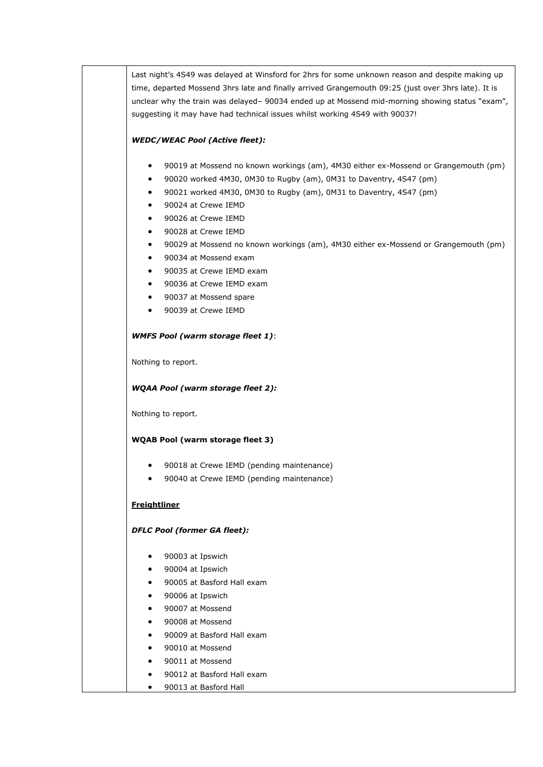Last night's 4S49 was delayed at Winsford for 2hrs for some unknown reason and despite making up time, departed Mossend 3hrs late and finally arrived Grangemouth 09:25 (just over 3hrs late). It is unclear why the train was delayed– 90034 ended up at Mossend mid-morning showing status "exam", suggesting it may have had technical issues whilst working 4S49 with 90037!

## *WEDC/WEAC Pool (Active fleet):*

- 90019 at Mossend no known workings (am), 4M30 either ex-Mossend or Grangemouth (pm)
- 90020 worked 4M30, 0M30 to Rugby (am), 0M31 to Daventry, 4S47 (pm)
- 90021 worked 4M30, 0M30 to Rugby (am), 0M31 to Daventry, 4S47 (pm)
- 90024 at Crewe IEMD
- 90026 at Crewe IEMD
- 90028 at Crewe IEMD
- 90029 at Mossend no known workings (am), 4M30 either ex-Mossend or Grangemouth (pm)
- 90034 at Mossend exam
- 90035 at Crewe IEMD exam
- 90036 at Crewe IEMD exam
- 90037 at Mossend spare
- 90039 at Crewe IFMD

### *WMFS Pool (warm storage fleet 1)*:

Nothing to report.

*WQAA Pool (warm storage fleet 2):*

Nothing to report.

### **WQAB Pool (warm storage fleet 3)**

- 90018 at Crewe IEMD (pending maintenance)
- 90040 at Crewe IEMD (pending maintenance)

### **Freightliner**

### *DFLC Pool (former GA fleet):*

- 90003 at Ipswich
- 90004 at Ipswich
- 90005 at Basford Hall exam
- 90006 at Ipswich
- 90007 at Mossend
- 90008 at Mossend
- 90009 at Basford Hall exam
- 90010 at Mossend
- 90011 at Mossend
- 90012 at Basford Hall exam
- 90013 at Basford Hall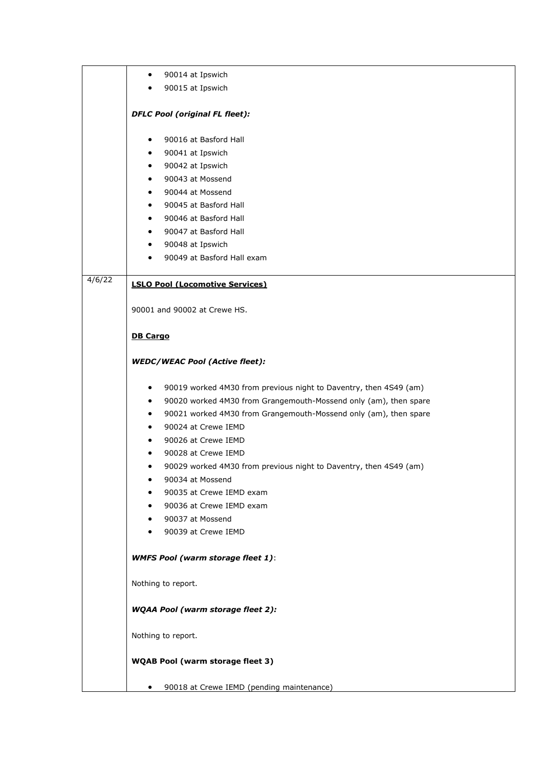|        | 90014 at Ipswich<br>$\bullet$                                                 |
|--------|-------------------------------------------------------------------------------|
|        | 90015 at Ipswich                                                              |
|        |                                                                               |
|        | <b>DFLC Pool (original FL fleet):</b>                                         |
|        |                                                                               |
|        | 90016 at Basford Hall<br>٠                                                    |
|        | 90041 at Ipswich<br>٠                                                         |
|        | 90042 at Ipswich<br>٠                                                         |
|        | 90043 at Mossend<br>$\bullet$                                                 |
|        | 90044 at Mossend<br>$\bullet$                                                 |
|        | 90045 at Basford Hall<br>٠                                                    |
|        | 90046 at Basford Hall<br>$\bullet$                                            |
|        | 90047 at Basford Hall<br>$\bullet$                                            |
|        | 90048 at Ipswich<br>$\bullet$                                                 |
|        | 90049 at Basford Hall exam<br>$\bullet$                                       |
|        |                                                                               |
| 4/6/22 | <b>LSLO Pool (Locomotive Services)</b>                                        |
|        |                                                                               |
|        | 90001 and 90002 at Crewe HS.                                                  |
|        |                                                                               |
|        | <b>DB Cargo</b>                                                               |
|        |                                                                               |
|        | <b>WEDC/WEAC Pool (Active fleet):</b>                                         |
|        |                                                                               |
|        | 90019 worked 4M30 from previous night to Daventry, then 4S49 (am)<br>٠        |
|        | 90020 worked 4M30 from Grangemouth-Mossend only (am), then spare<br>$\bullet$ |
|        | 90021 worked 4M30 from Grangemouth-Mossend only (am), then spare<br>٠         |
|        | 90024 at Crewe IEMD<br>$\bullet$                                              |
|        | 90026 at Crewe IEMD                                                           |
|        | 90028 at Crewe IEMD                                                           |
|        | 90029 worked 4M30 from previous night to Daventry, then 4S49 (am)             |
|        | 90034 at Mossend<br>٠                                                         |
|        | 90035 at Crewe IEMD exam                                                      |
|        | 90036 at Crewe IEMD exam<br>$\bullet$                                         |
|        | 90037 at Mossend<br>$\bullet$                                                 |
|        | 90039 at Crewe IEMD                                                           |
|        |                                                                               |
|        | <b>WMFS Pool (warm storage fleet 1):</b>                                      |
|        |                                                                               |
|        | Nothing to report.                                                            |
|        |                                                                               |
|        | <b>WQAA Pool (warm storage fleet 2):</b>                                      |
|        |                                                                               |
|        | Nothing to report.                                                            |
|        |                                                                               |
|        | <b>WQAB Pool (warm storage fleet 3)</b>                                       |
|        |                                                                               |
|        | 90018 at Crewe IEMD (pending maintenance)<br>$\bullet$                        |